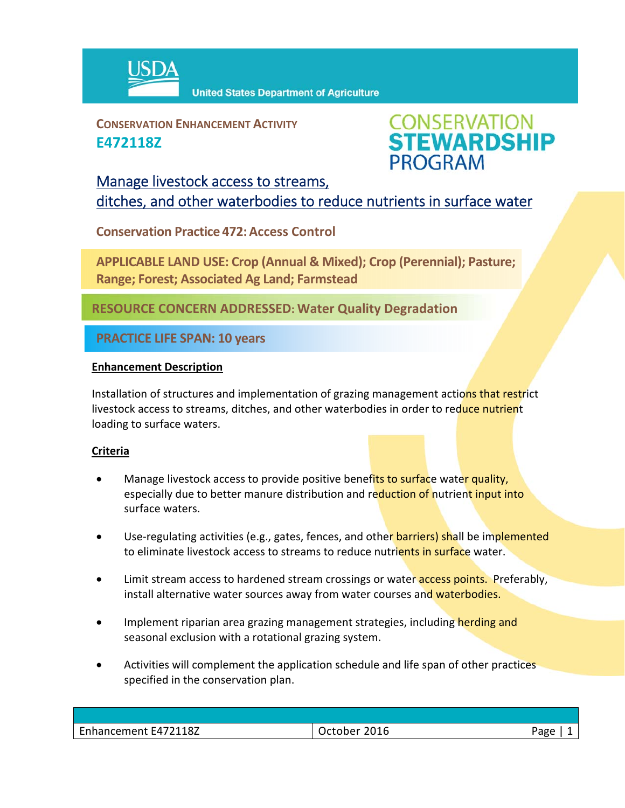

**United States Department of Agriculture** 

**CONSERVATION ENHANCEMENT ACTIVITY E472118Z**



## Manage livestock access to streams, ditches, and other waterbodies to reduce nutrients in surface water

**Conservation Practice 472:Access Control**

**APPLICABLE LAND USE: Crop (Annual & Mixed); Crop (Perennial); Pasture; Range; Forest; Associated Ag Land; Farmstead**

**RESOURCE CONCERN ADDRESSED: Water Quality Degradation** 

**PRACTICE LIFE SPAN: 10 years**

## **Enhancement Description**

Installation of structures and implementation of grazing management actions that restrict livestock access to streams, ditches, and other waterbodies in order to reduce nutrient loading to surface waters.

## **Criteria**

- Manage livestock access to provide positive benefits to surface water quality, especially due to better manure distribution and reduction of nutrient input into surface waters.
- Use-regulating activities (e.g., gates, fences, and other barriers) shall be implemented to eliminate livestock access to streams to reduce nutrients in surface water.
- Limit stream access to hardened stream crossings or water **access points.** Preferably, install alternative water sources away from water courses and waterbodies.
- Implement riparian area grazing management strategies, including herding and seasonal exclusion with a rotational grazing system.
- Activities will complement the application schedule and life span of other practices specified in the conservation plan.

| Enhancement E472118Z | October 2016 | חמר |
|----------------------|--------------|-----|
|                      |              |     |